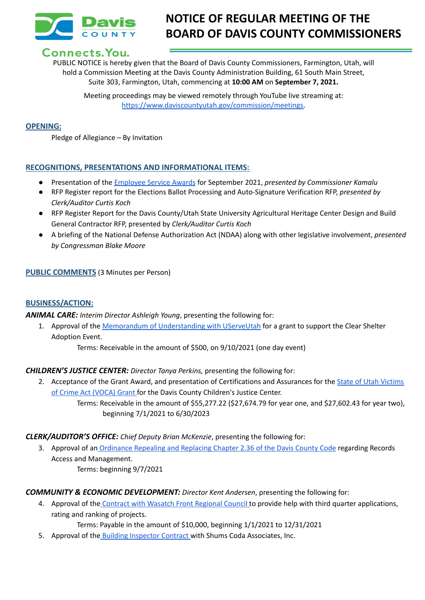

# **NOTICE OF REGULAR MEETING OF THE BOARD OF DAVIS COUNTY COMMISSIONERS**

## Connects. You.

PUBLIC NOTICE is hereby given that the Board of Davis County Commissioners, Farmington, Utah, will hold a Commission Meeting at the Davis County Administration Building, 61 South Main Street, Suite 303, Farmington, Utah, commencing at **10:00 AM** on **September 7, 2021.**

Meeting proceedings may be viewed remotely through YouTube live streaming at: [https://www.daviscountyutah.gov/commission/meetings.](https://www.daviscountyutah.gov/commission/meetings)

#### **OPENING:**

Pledge of Allegiance – By Invitation

### **RECOGNITIONS, PRESENTATIONS AND INFORMATIONAL ITEMS:**

- Presentation of the [Employee](https://drive.google.com/file/d/1m1v9UAxKhYTxRYqD4rq3y9DhNu7_qelu/view?usp=sharing) Service Awards for September 2021, *presented by Commissioner Kamalu*
- RFP Register report for the Elections Ballot Processing and Auto-Signature Verification RFP, *presented by Clerk/Auditor Curtis Koch*
- RFP Register Report for the Davis County/Utah State University Agricultural Heritage Center Design and Build General Contractor RFP, presented by *Clerk/Auditor Curtis Koch*
- **●** A briefing of the National Defense Authorization Act (NDAA) along with other legislative involvement, *presented by Congressman Blake Moore*

### **PUBLIC COMMENTS** (3 Minutes per Person)

#### **BUSINESS/ACTION:**

*ANIMAL CARE: Interim Director Ashleigh Young*, presenting the following for:

1. Approval of the Memorandum of [Understanding](https://drive.google.com/file/d/1RqZHTYC237ttahD7vvVoIewkmvs5wVvi/view?usp=sharing) with UServeUtah for a grant to support the Clear Shelter Adoption Event.

Terms: Receivable in the amount of \$500, on 9/10/2021 (one day event)

*CHILDREN'S JUSTICE CENTER: Director Tanya Perkins,* presenting the following for:

beginning 7/1/2021 to 6/30/2023

2. Acceptance of the Grant Award, and presentation of Certifications and Assurances for the State of Utah [Victims](https://drive.google.com/file/d/1kRmBCTUCagI9iSRUx423UO-0xIUoVzal/view?usp=sharing) of Crime Act [\(VOCA\)](https://drive.google.com/file/d/1kRmBCTUCagI9iSRUx423UO-0xIUoVzal/view?usp=sharing) Grant for the Davis County Children's Justice Center. Terms: Receivable in the amount of \$55,277.22 (\$27,674.79 for year one, and \$27,602.43 for year two),

#### *CLERK/AUDITOR'S OFFICE: Chief Deputy Brian McKenzie*, presenting the following for:

3. Approval of an [Ordinance](https://docs.google.com/document/d/1G03siishUHCvNu6yCH0DZTDSgJn7rXeF/edit?usp=sharing&ouid=106668054259493981190&rtpof=true&sd=true) Repealing and Replacing Chapter 2.36 of the Davis County Code regarding Records Access and Management.

Terms: beginning 9/7/2021

#### *COMMUNITY & ECONOMIC DEVELOPMENT: Director Kent Andersen*, presenting the following for:

4. Approval of the Contract with Wasatch Front [Regional](https://drive.google.com/file/d/16wDcq6FRs_SL-eudgs4BDXClHfKZLAoz/view?usp=sharing) Council to provide help with third quarter applications, rating and ranking of projects.

Terms: Payable in the amount of \$10,000, beginning 1/1/2021 to 12/31/2021

5. Approval of the Building [Inspector](https://drive.google.com/file/d/1H7Z2OkYN946hI2RLxtksck_AHbL8nRJX/view?usp=sharing) Contract with Shums Coda Associates, Inc.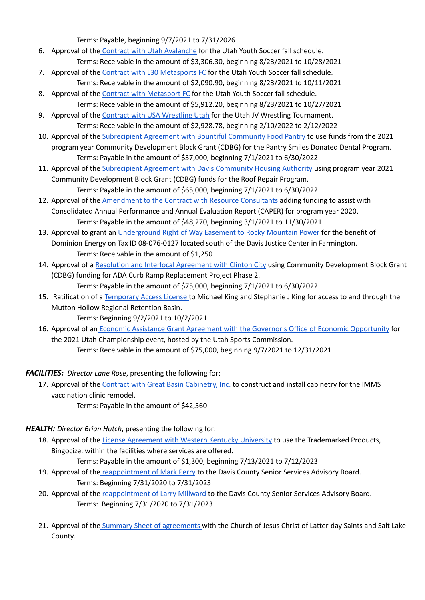Terms: Payable, beginning 9/7/2021 to 7/31/2026

- 6. Approval of the Contract with Utah [Avalanche](https://drive.google.com/file/d/1meUNN-4H8qobDWZ9lOJW6pMOBxs8MrSi/view?usp=sharing) for the Utah Youth Soccer fall schedule. Terms: Receivable in the amount of \$3,306.30, beginning 8/23/2021 to 10/28/2021
- 7. Approval of the Contract with L30 [Metasports](https://drive.google.com/file/d/1m8F5ptE4x9TFo6SkFvZFuldt9TgdQ2vq/view?usp=sharing) FC for the Utah Youth Soccer fall schedule. Terms: Receivable in the amount of \$2,090.90, beginning 8/23/2021 to 10/11/2021
- 8. Approval of the Contract with [Metasport](https://drive.google.com/file/d/1ToPnQbejZi16cXJohPeEAIjH1mw0L1iC/view?usp=sharing) FC for the Utah Youth Soccer fall schedule. Terms: Receivable in the amount of \$5,912.20, beginning 8/23/2021 to 10/27/2021
- 9. Approval of the Contract with USA [Wrestling](https://drive.google.com/file/d/17vs2IiJG1kpPV-CBARuOpjzR270E3hT-/view?usp=sharing) Utah for the Utah JV Wrestling Tournament. Terms: Receivable in the amount of \$2,928.78, beginning 2/10/2022 to 2/12/2022
- 10. Approval of the [Subrecipient](https://drive.google.com/file/d/1yGsQeZQdgfynFr4g0SkeeTkkvyE3bcLi/view?usp=sharing) Agreement with Bountiful Community Food Pantry to use funds from the 2021 program year Community Development Block Grant (CDBG) for the Pantry Smiles Donated Dental Program. Terms: Payable in the amount of \$37,000, beginning 7/1/2021 to 6/30/2022
- 11. Approval of the [Subrecipient](https://drive.google.com/file/d/1QPuyh5nzr8NB_Ntw1mc9gzpd5SeLEEvz/view?usp=sharing) Agreement with Davis Community Housing Authority using program year 2021 Community Development Block Grant (CDBG) funds for the Roof Repair Program. Terms: Payable in the amount of \$65,000, beginning 7/1/2021 to 6/30/2022
- 12. Approval of the [Amendment](https://drive.google.com/file/d/1c8sfOUI2w5Ng83ESTQQHJ1sKV1_Q1gyX/view?usp=sharing) to the Contract with Resource Consultants adding funding to assist with
- Consolidated Annual Performance and Annual Evaluation Report (CAPER) for program year 2020. Terms: Payable in the amount of \$48,270, beginning 3/1/2021 to 11/30/2021
- 13. Approval to grant an [Underground](https://drive.google.com/file/d/1CrxTsBYzHyhTDQHUn2BYN2lwI1_m_CW2/view?usp=sharing) Right of Way Easement to Rocky Mountain Power for the benefit of Dominion Energy on Tax ID 08-076-0127 located south of the Davis Justice Center in Farmington. Terms: Receivable in the amount of \$1,250
- 14. Approval of a Resolution and Interlocal [Agreement](https://drive.google.com/file/d/19TNM_cPD4FPFxq9XZ5iCPDGi5HChQ_iP/view?usp=sharing) with Clinton City using Community Development Block Grant (CDBG) funding for ADA Curb Ramp Replacement Project Phase 2. Terms: Payable in the amount of \$75,000, beginning 7/1/2021 to 6/30/2022
- 15. Ratification of a [Temporary](https://drive.google.com/file/d/1v1WiChXNoOBR0yfWq4BzqzhGoDaS6TRa/view?usp=sharing) Access License to Michael King and Stephanie J King for access to and through the
	- Mutton Hollow Regional Retention Basin. Terms: Beginning 9/2/2021 to 10/2/2021
- 16. Approval of an Economic Assistance Grant Agreement with the Governor's Office of Economic [Opportunity](https://drive.google.com/file/d/1Zew1xVdYi9etembBJudlnJ7IMCl-3wgY/view?usp=sharing) for the 2021 Utah Championship event, hosted by the Utah Sports Commission. Terms: Receivable in the amount of \$75,000, beginning 9/7/2021 to 12/31/2021

*FACILITIES: Director Lane Rose*, presenting the following for:

- 17. Approval of the Contract with Great Basin [Cabinetry,](https://drive.google.com/file/d/1vU-f_nKl0ygBEUqrXDIEGcwW2wJeXiv3/view?usp=sharing) Inc. to construct and install cabinetry for the IMMS vaccination clinic remodel.
	- Terms: Payable in the amount of \$42,560

### *HEALTH: Director Brian Hatch*, presenting the following for:

18. Approval of the License [Agreement](https://drive.google.com/file/d/1VYR1C-siUq7QWN6HU8UBY3o8mYDHKVwJ/view?usp=sharing) with Western Kentucky University to use the Trademarked Products, Bingocize, within the facilities where services are offered.

Terms: Payable in the amount of \$1,300, beginning 7/13/2021 to 7/12/2023

- 19. Approval of the [reappointment](https://drive.google.com/file/d/1vjrIjiToPZfOoyp0x7OB51IaGE8mkM1b/view?usp=sharing) of Mark Perry to the Davis County Senior Services Advisory Board. Terms: Beginning 7/31/2020 to 7/31/2023
- 20. Approval of the [reappointment](https://drive.google.com/file/d/153Dx3xBn2ZE_xy_X7TOUeJ30QS8-CTae/view?usp=sharing) of Larry Millward to the Davis County Senior Services Advisory Board. Terms: Beginning 7/31/2020 to 7/31/2023
- 21. Approval of the Summary Sheet of [agreements](https://drive.google.com/file/d/1PhmLXAK6ADFN1A_c2_FbjdssEY01Uzkw/view?usp=sharing) with the Church of Jesus Christ of Latter-day Saints and Salt Lake County.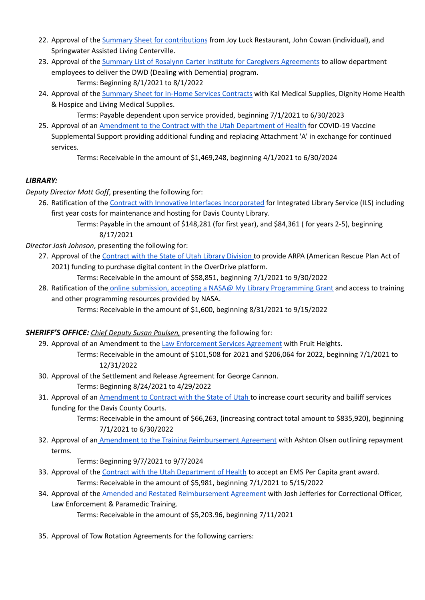- 22. Approval of the Summary Sheet for [contributions](https://drive.google.com/file/d/1fHRf1XM1da616a2YbkJ3drh2Cvjc04qv/view?usp=sharing) from Joy Luck Restaurant, John Cowan (individual), and Springwater Assisted Living Centerville.
- 23. Approval of the Summary List of Rosalynn Carter Institute for Caregivers [Agreements](https://drive.google.com/file/d/1Ta1wq2RdQNGd2t_-ixaCxuCEQ6Okdxz4/view?usp=sharing) to allow department employees to deliver the DWD (Dealing with Dementia) program. Terms: Beginning 8/1/2021 to 8/1/2022
- 24. Approval of the [Summary](https://drive.google.com/file/d/1M-yTH93JHbK35JoGwVE8HEgROtnv4xvp/view?usp=sharing) Sheet for In-Home Services Contracts with Kal Medical Supplies, Dignity Home Health & Hospice and Living Medical Supplies.

Terms: Payable dependent upon service provided, beginning 7/1/2021 to 6/30/2023

25. Approval of an [Amendment](https://drive.google.com/file/d/1vcXqJfc8e58QFW-mMD4Vw9o5hOh4lUxq/view?usp=sharing) to the Contract with the Utah Department of Health for COVID-19 Vaccine Supplemental Support providing additional funding and replacing Attachment 'A' in exchange for continued services.

Terms: Receivable in the amount of \$1,469,248, beginning 4/1/2021 to 6/30/2024

### *LIBRARY:*

*Deputy Director Matt Goff*, presenting the following for:

- 26. Ratification of the Contract with Innovative Interfaces [Incorporated](https://drive.google.com/file/d/1gbMSwhDIF1azqFDbbO8EL10xJuvD1gzV/view?usp=sharing) for Integrated Library Service (ILS) including first year costs for maintenance and hosting for Davis County Library.
	- Terms: Payable in the amount of \$148,281 (for first year), and \$84,361 ( for years 2-5), beginning 8/17/2021

*Director Josh Johnson*, presenting the following for:

27. Approval of the [Contract](https://drive.google.com/file/d/1sbswxER_ZEP9NJAAOjxka4ZSuT1qKqpD/view?usp=sharing) with the State of Utah Library Division to provide ARPA (American Rescue Plan Act of 2021) funding to purchase digital content in the OverDrive platform.

Terms: Receivable in the amount of \$58,851, beginning 7/1/2021 to 9/30/2022

28. Ratification of the online submission, accepting a NASA@ My Library [Programming](https://drive.google.com/file/d/1DTJc3cvL_Sg0AwbLIAEEZ2GxyK3y06aB/view?usp=sharing) Grant and access to training and other programming resources provided by NASA.

Terms: Receivable in the amount of \$1,600, beginning 8/31/2021 to 9/15/2022

*SHERIFF'S OFFICE: Chief Deputy Susan Poulsen,* presenting the following for:

- 29. Approval of an Amendment to the Law [Enforcement](https://drive.google.com/file/d/1Avq3uY86bI5I-R7pVrgnwvqg-IwCMwBy/view?usp=sharing) Services Agreement with Fruit Heights. Terms: Receivable in the amount of \$101,508 for 2021 and \$206,064 for 2022, beginning 7/1/2021 to 12/31/2022
- 30. Approval of the Settlement and Release Agreement for George Cannon.

Terms: Beginning 8/24/2021 to 4/29/2022

31. Approval of an [Amendment](https://drive.google.com/file/d/1f8DT5q_IelfWEq_T65XVJVUdYndrbrUp/view?usp=sharing) to Contract with the State of Utah to increase court security and bailiff services funding for the Davis County Courts.

> Terms: Receivable in the amount of \$66,263, (increasing contract total amount to \$835,920), beginning 7/1/2021 to 6/30/2022

32. Approval of an Amendment to the Training [Reimbursement](https://drive.google.com/file/d/1rVjqMxPCtFbfmhE0jwxF7aGKV_wHNafN/view?usp=sharing) Agreement with Ashton Olsen outlining repayment terms.

Terms: Beginning 9/7/2021 to 9/7/2024

- 33. Approval of the Contract with the Utah [Department](https://drive.google.com/file/d/1gAiEt3I8cyStP0XzD7y3YRGxEDCD9Yyi/view?usp=sharing) of Health to accept an EMS Per Capita grant award. Terms: Receivable in the amount of \$5,981, beginning 7/1/2021 to 5/15/2022
- 34. Approval of the Amended and Restated [Reimbursement](https://drive.google.com/file/d/1wE3YN6iYyy0SMEcDwpWcJKT2zSwd4Uyq/view?usp=sharing) Agreement with Josh Jefferies for Correctional Officer, Law Enforcement & Paramedic Training.

Terms: Receivable in the amount of \$5,203.96, beginning 7/11/2021

35. Approval of Tow Rotation Agreements for the following carriers: